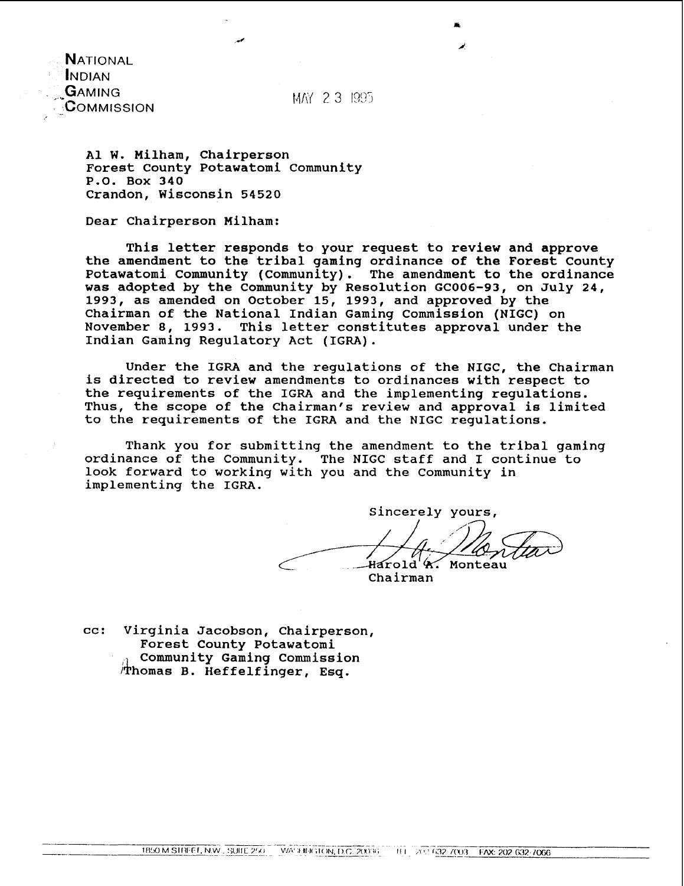**NATIONAL INDIAN** GAMING COMMISSION

MAY 2.3 1995

A1 W. Milham, Chairperson Forest County Potawatomi Community P.O. Box 340 Crandon, Wisconsin 54520

Dear Chairperson Milham:

This letter responds to your request to review and approve the amendment to the tribal gaming ordinance of the Forest County Potawatomi Community (Community). The amendment to the ordinance was adopted by the Community by Resolution GC006-93, on July 24, 1993, as amended on October 15, 1993, and approved by the Chairman of the National Indian Gaming Commission (NIGC) on November 8, 1993. This letter constitutes approval under the Indian Gaming Regulatory Act (IGRA).

Under the IGRA and the regulations of the NIGC, the Chairman is directed to review amendments to ordinances with respect to the requirements of the IGRA and the implementing regulations. Thus, the scope of the Chairman's review and approval is limited to the requirements of the IGRA and the NIGC regulations.

Thank you for submitting the amendment to the tribal gaming ordinance of the Community. The NIGC staff and I continue to look forward to working with you and the Community in implementing the IGRA.

Sincerely yours, Harold A. Monteau Chairman

cc: Virginia Jacobson, chairperson, Forest County Potawatomi Community Gaming Commission Thomas B. Heffelfinger, Esq.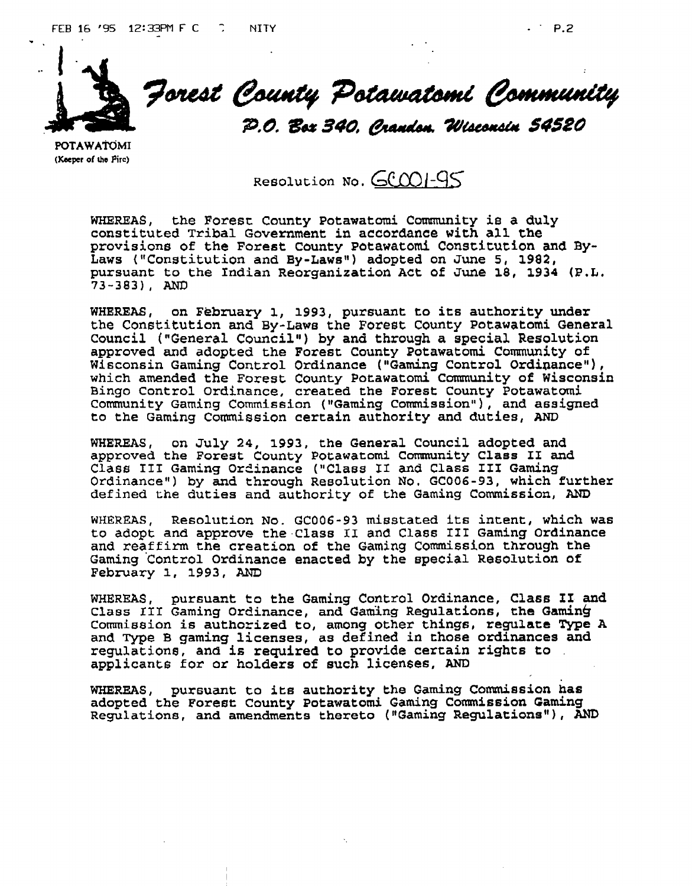



Forest County Potawatomi Community

P.O. Box 340, Crandon. Wisconsin 54520

POTAWATOMI (Keeper of the Pirc)

Resolution No. **GCOOI-95** 

**WHEREAS,** the Foresc **County Potawatd Community ie a duly constituted Tribal Government in accordance with all the**  provisions of the Forest County Potawatomi Constitution and By-Laws ("Constitution and By-Laws") adopted on June 5, 1982, **pursuant to the Indian Reorganization Act of June 18, 1934 (P.L. 73-383), AND** 

**WHEREAS, on February 1, 1993, pursuant to its authority under**  the **Constitution** and **By-Laws the Forest County Potawatomi General Council** ("General **Council") by and through a special Resolution approved and adopted the Forest County Potawatomi Community of**  which amended the Forest County Potawatomi Community of Wisconsin **Bingo Control Ordinance, created the Forest County Potawatomi Community Gaming Commission ("Gaming ~odssion~), and assigned to the Gaming Commission certain authority and duties, AND** 

**WHEREAS, on July 24, 1993, the General Council adopted and approved the Forest County Pocawatomi Community Class I1 and Class I11 Gaming Or2inance ("Class 11 and Class I11 Gaming Ordinancev) by and through Resolution No. GC006-93, which further defined the duties and authority of the Gaming Commission, AND** 

**WHEREAS, Resolution No. GC006-93 misstated its intent, which was to adopt and approve the.Class I1 and Class 111 Gaming Ordinance and reaffirm the creation of the Gaming Commission through the Gaming 'control Ordinance enacted by the special Resolution of February 1, 1993, AND** 

**WHEREAS, pursuant to the Gaming** Control **Ordinance, Class I1 and Class III Gaming Orclinance, and Gaming Regulations, the gamin6 Commission is authorized to, among other things, regulate Type A and Type B gaming licenses, as defined in those ordinances and regulatione, and is required to provide certain rights to applicants for or holders of such licenses, AM3** 

**WHEREAS, pursuant to iLe authority the Gaming Commission has adopted the Forest County Potawatomi Gaming Commission Gaming Regulations, and amendments thereto (nGaming Regulationsw), AND**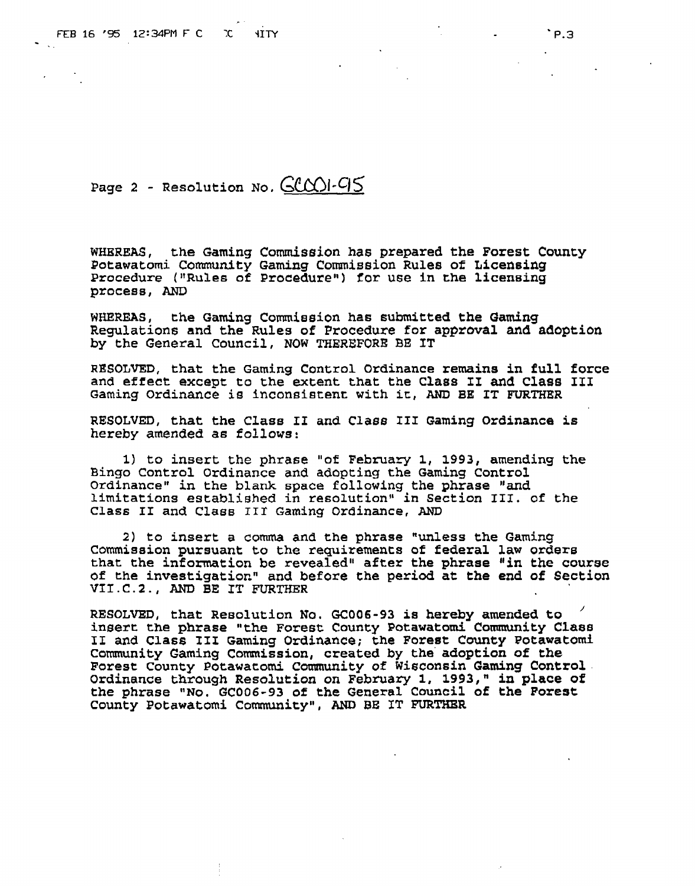Page 2 - **Resolution No. GCCOI-95** 

**WHEREAS, the Gaming Commission has prepared the Forest County Potawatomi** Comnity **Gaming Commission Rules of Licensing**  Procedure ("Rules of Procedure") for use in the licensing **process,** AND

**WHEREAS, the Gaming** Comieeion **has submitted the Gaming Regulations and the Rules of Procedure for approval and adoption by the General Council, NOW TREREFORE BE IT** 

**RESOLVED, that the Gaming Control Ordinance remains in full force and effect except to the extent that the Class 11 and Class I11 Gaming Ordinance is inconsistent with ic, AND BE IT FURTHER** 

**RESOLVED, that the Class II and Class 111 Gaming Ordinance is hereby amended as follows:** 

**1) to** insert **the phrase "of February 1, 1993, amending the Bingo Control Ordinance and adopting the Gaming Control Ordinancew in the blank space following the phrase "and**  limitations established in resolution" in Section III. of the **Class I1 and Class** IIf **Gaming Ordinance, AND** 

**2) to insert a comma and the phrase "unless the Gaming**  Commission **pursuant to the requirements of federal law orders**  that **the information be revealed" after the phrase "in the course of the investigationn and before the period at the end of Section VII.C.2., AND BE IT FURTHER** 

**RESOLVED, that Resolution No. GC006-93 ia hereby amended to <sup>1</sup> insert the phrase "the Forest County Potawatomi Corranrnity Class I1 and Class XIS Gaming Ordinance; the Forest County Potawatomf Community Gaming Commission, created by the'adoption of the Forest County Potawatomi Community of Wisconsin Gaming Control ordinance through Resolution on February 1, 1993," in place of the phrase "No. GC006-93 of the General Council of the Forest**  County Potawatomi Community", AND BE IT FURTHER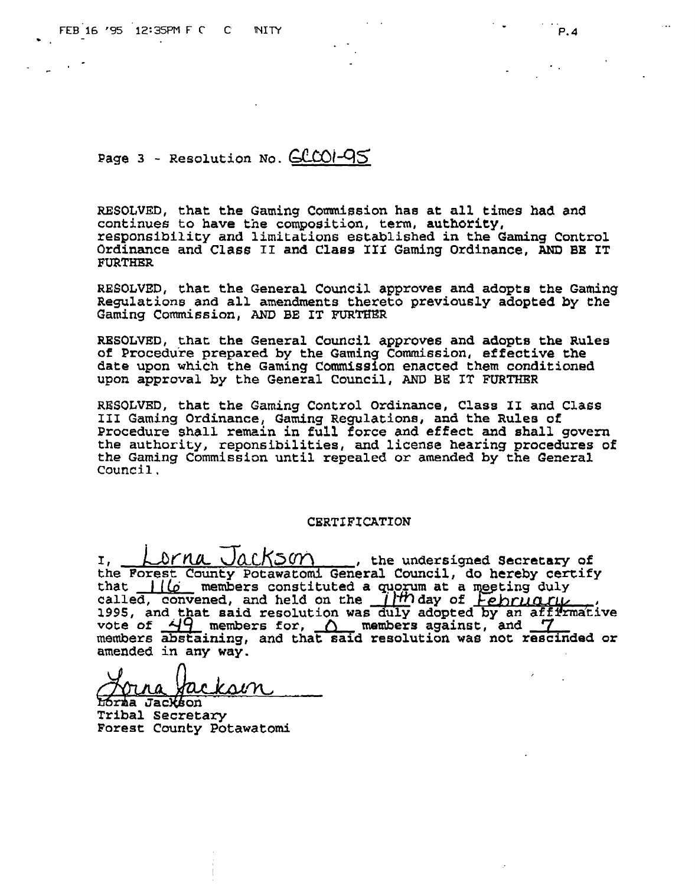$P.4$ 

**Page 3 - Resolution No.**  $GCOI-QS$ 

RESOLVED, that the Gaming Commission has at all times had and **continues to have the composition, term, authority, responsibility and limitations established in the Gaming Control Ordinance and Class 11 and Class 1x1 Gaming Ordinance, AND BE IT FURTHER** 

**RESOLVED, that the General Council approves and adopts the Gaming Regulations and all amendments thereto previously adopted by the Gaming Commission, AND BE IT FURTBER** 

**RESOLVED, that the General Council approves and adopts the Rules of Procedure prepared by the Gaming Commission, effective the date upon which the Gaming Commission enacted them conditioned upon approval by the General** Council, AND **BE IT FURTHER** 

**RESOLVFD, that the Gaming Control Ordinance, Class 11 and Class I11 Gaming Ordinance, Gaming ~egulations, and the Rulee of Procedure shall remzin in full** force **and effect and shall govern the authority, reponsibilities, and license hearing procedures of the Gaming Commission until repealed or amended by the General Council.** 

### CERTIFICATION

1, <u>Lorna Jackson</u>, the undersigned secretary of **the Forest County Potawatomi General Council, do hereby certify**  the Forest County Potawatomi General Council, do hereby cert<br>that  $\frac{1}{\omega}$  members constituted a quorum at a meeting duly<br>called, convened, and held on the  $\frac{1}{m}$  day of *February* **Pormal Jackson**, the undersigned Secretary of orest County Potawatomi General Council, do hereby certify members constituted a quorum at a meeting duly  $\frac{d}{dx}$ , convened, and held on the  $\frac{1}{H}$  day of *February*. vote of  $\frac{\Delta Q}{2}$  members for,  $\Delta$  members against, and  $\frac{7}{2}$  members abstaining, and that said resolution was not rescinded or **amended in any way.** 

Lorna Jackson **Tribal ~ecretary Forest** County **Potawatomi**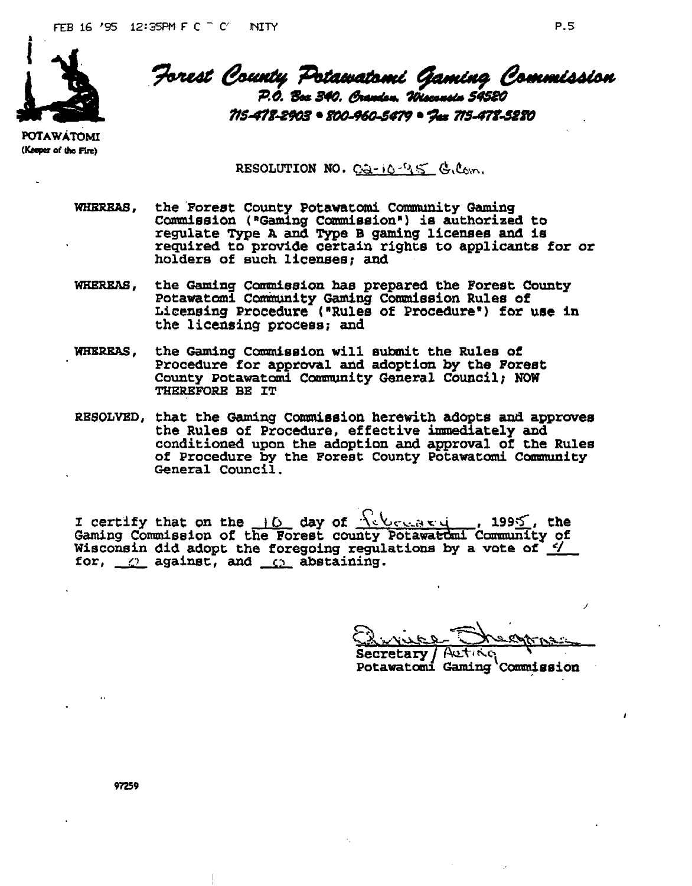

Forest County Potawatomi Gaming Commission P.O. Box 340. Orandon. Wisconsin 54580 715-478-8903 = 800-960-5479 = "Jax 715-478-5880"

**POTAWATOMI** (Keeper of the Fire)

RESOLUTION NO. Ca-10-95 G.Com.

- WHEREAS, the Forest County Potawatomi Community Gaming Commission ("Gaming Commission") is authorized to regulate Type A and Type B gaming licenses and is required to provide certain rights to applicants for or holders of such licenses; and
- WHEREAS, the Gaming Commission has prepared the Forest County Potawatomi Community Gaming Commission Rules of Licensing Procedure ("Rules of Procedure") for use in the licensing process; and
- **WHEREAS,** the Gaming Commission will submit the Rules of Procedure for approval and adoption by the Forest County Potawatomi Community General Council; NOW THEREFORE BE IT
- RESOLVED, that the Gaming Commission herewith adopts and approves the Rules of Procedure, effective immediately and conditioned upon the adoption and approval of the Rules of Procedure by the Forest County Potawatomi Community General Council.

I certify that on the 10 day of Rebeccase 1995໌, the Gaming Commission of the Forest county Potawatomi Community of Wisconsin did adopt the foregoing regulations by a vote of  $\frac{e}{2}$ for,  $\mathcal{Q}$  against, and  $\mathcal{Q}$  abstaining.

**Secretary** Potawatomi Gaming Commission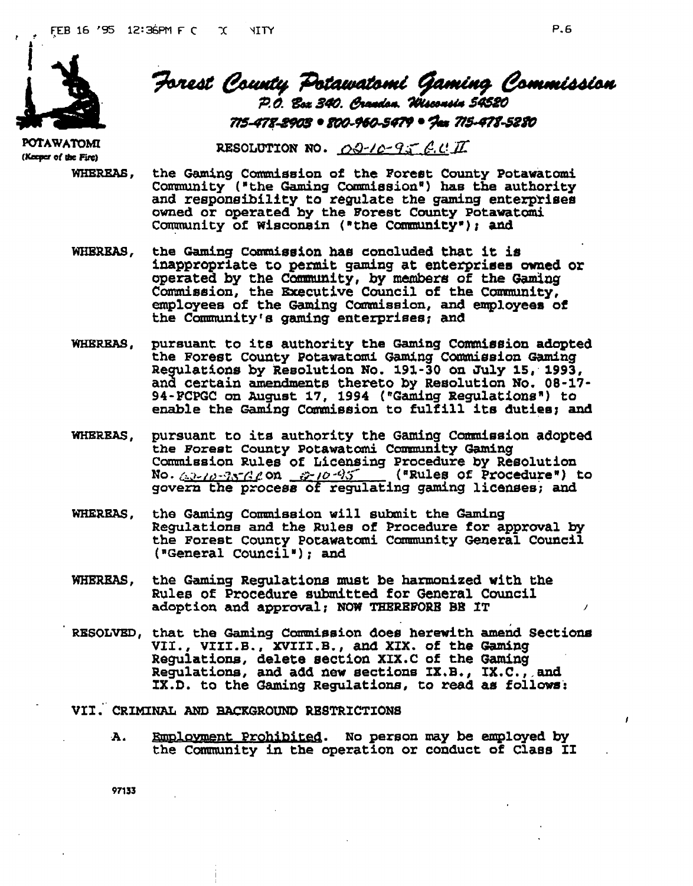

**POTAWATOMI** (Keeper of the Fire)

# Forest County Potawatomi Gaming Commission<br>P.O. Box 340. Gradon. Wisconsis 54520 715-478-2903 • 800-960-5479 • Jax 715-478-5280

RESOLUTION NO. 00-10-95 E.C.II

- WHEREAS, the Gaming Commission of the Forest County Potawatomi Community ("the Gaming Commission") has the authority and responsibility to regulate the gaming enterprises owned or operated by the Forest County Potawatomi Community of Wisconsin ("the Community"); and
- **WHEREAS.** the Gaming Commission has concluded that it is inappropriate to permit gaming at enterprises owned or operated by the Community, by members of the Gaming Commission, the Executive Council of the Community, employees of the Gaming Commission, and employees of the Community's gaming enterprises; and
- pursuant to its authority the Gaming Commission adopted WHEREAS, the Forest County Potawatomi Gaming Commission Gaming Regulations by Resolution No. 191-30 on July 15, 1993, and certain amendments thereto by Resolution No. 08-17-94-FCPGC on August 17, 1994 ("Gaming Regulations") to enable the Gaming Commission to fulfill its duties; and
- pursuant to its authority the Gaming Commission adopted **WHEREAS,** the Forest County Potawatomi Community Gaming Commission Rules of Licensing Procedure by Resolution No. Alles of Procedure") to govern the process of regulating gaming licenses; and
- WHEREAS, the Gaming Commission will submit the Gaming Regulations and the Rules of Procedure for approval by the Forest County Potawatomi Community General Council ("General Council"); and
- **WHEREAS,** the Gaming Regulations must be harmonized with the Rules of Procedure submitted for General Council adoption and approval; NOW THEREFORE BE IT
- RESOLVED, that the Gaming Commission does herewith amend Sections VII., VIII.B., XVIII.B., and XIX. of the Gaming Regulations, delete section XIX.C of the Gaming Regulations, and add new sections  $IX.B., IX.C., and$ IX.D. to the Gaming Regulations, to read as follows:
- VII. CRIMINAL AND BACKGROUND RESTRICTIONS
	- Employment Prohibited. No person may be employed by Α. the Community in the operation or conduct of Class II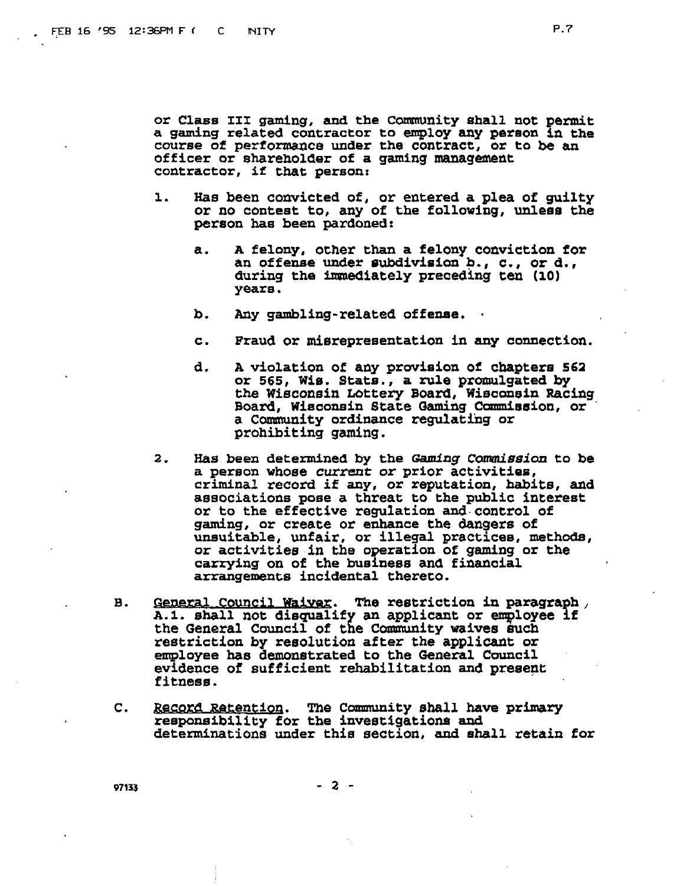**or Class I11 gaming, and the Cmnity shall not pennit a gaming related contractor to employ any pefeon in the course of performance under the contract, or to be an officer or shareholder of a gaming management contractor, it that person:** 

- **1. Has been convicted of, or entered a plea of guilty or no contest to, any of the following, unleas the person haa been pardoned:** 
	- **a. A felony, other than a felony conviction for**  an offense under subdivision **b.**, c., or d., **during the immediately preceding ten (10) yeara** .
	- **b. Any gambling-related offexuse.** .
	- **c. Fraud or miarepresentation in any connection.**
	- **d. A violation of any provision of chapter8 561 or 565, Wie. Stats., a rule promulgated by**  the Wisconsin Lottery Board, Wisconsin Racing **Board, Wisconsin Gtate Gaxning Commission, or** ' a Community ordinance regulating or **prohibiting gdng.**
- 2. Has been determined by the Gaming Commission to be **a person whoee current or prior activities, criminal record if any, or reputation, habits, and associations pose a threat to the public interest or to the effective regulation and.contro1 of gaming, or create or enhance the dangers of unsuitable, unfair, or illegal gracticee, methode, or activitie8.h the operation ot gaming or the carrying on of the business and financial arrangements incidental thereto.**
- **B.** General Council Waiver. The restriction in paragraph, A.1. shall not disqualify an applicant or employee if the General Council of the Community waives such **restriction by resolution after the applicant or**  employee has demonstrated to the General Council **evidence of sufficient rehabilitation and** *greeept* **fitness.**
- **C. entioq.** *The* **Community shall have primary**  responsibility for the investigations and determinations under this section, and shall retain for

 $-2 -$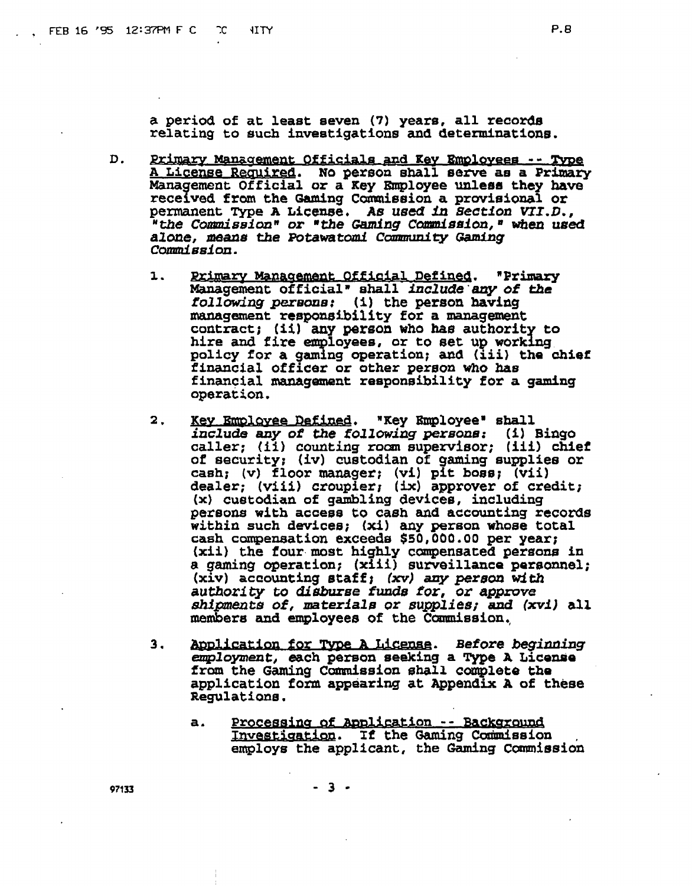- D. Primary Management Officials and Key Employees -- Type A License Reguired. No person shall serve as a Primary Management Official or a Key Employee unless they have received from the Gaming Commission a provisional or permanent Type A License. As used in Section VII.D., "the Commission" or "the Gaming Commission, " when used alone, means the Potawatomi Community Gaming Commission.
	- $\mathbf{1}$ . Primary Management Official Defined. "Primary Management official" shall include any of the<br>following persons: (i) the person having management responsibility for a management contract; (ii) any person who has authority to hire and fire employees, or to set up working policy for a gaming operation; and (iii) the chief financial officer or other person who has financial management responsibility for a gaming operation.
	- "Key Employee" shall 2. <u>Kev Emplovee Defined.</u> include any of the following persons: (i) Bingo caller; (ii) counting room supervisor; (iii) chief of security; (iv) custodian of gaming supplies or cash; (v) floor manager; (vi) pit boss; (vii) dealer; (viii) croupler; (ix) approver of credit; (x) custodian of gambling devices, including persons with access to cash and accounting records within such devices; (xi) any person whose total cash compensation exceeds \$50,000.00 per year; (xii) the four most highly compensated persons in a gaming operation; (xiii) surveillance personnel; (xiv) accounting staff; (xv) any person with authority to disburse funds for, or approve shipments of, materials or supplies; and (xvi) all members and employees of the Commission.
	- $3.$ <u>Application for Type A License</u>. Before beginning employment, each person seeking a Type A License from the Gaming Commission shall complete the application form appearing at Appendix A of these Regulations.
		- Processing of Application -- Background a. Investigation. If the Gaming Commission employs the applicant, the Gaming Commission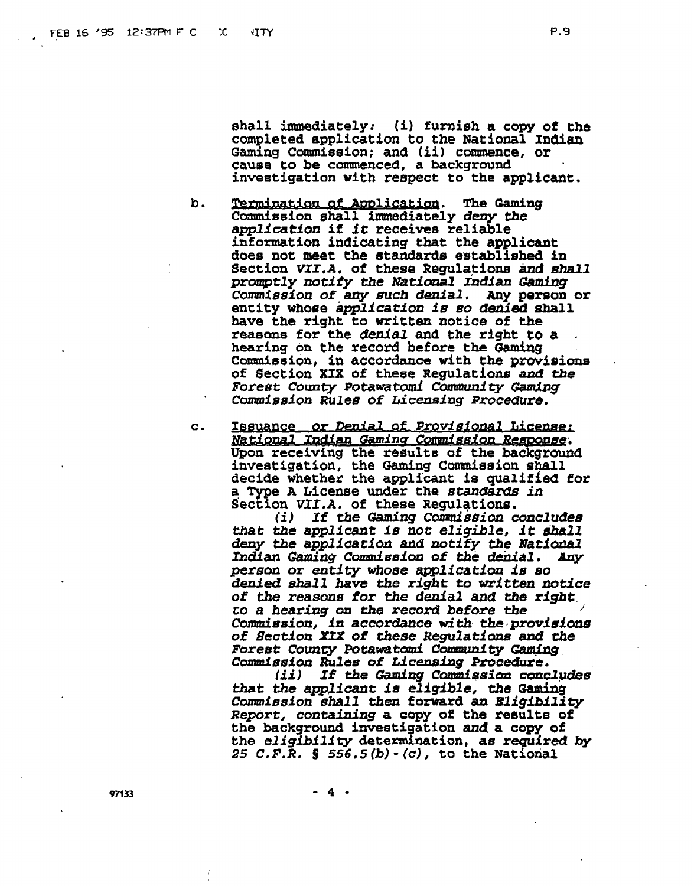shall immediately: (i) furnish a copy of the completed application to the National Indian Gaming Commission: and (ii) commence, or cause to be commenced, a background investigation with respect to the applicant.

- b. Termination of Application. The Gaming Commission shall immediately deny the application if it receives reliable information indicating that the applicant does not meet the standards established in Section VII.A. of these Regulations and shall promptly notify the National Indian Gaming Commission of any such denial. Any person or entity whose application is so denied shall have the right to written notice of the reasons for the *denial* and the right to a hearing on the record before the Gaming Commission, in accordance with the provisions of Section XIX of these Regulations and the Forest County Potawatomi Community Gaming Commission Rules of Licensing Procedure.
- Issuance or Denial of Provisional License:  $\mathbf{c}$ . National Indian Gaming Commission Response. Upon receiving the results of the background investigation, the Gaming Commission shall decide whether the applicant is qualified for a Type A License under the standards in Section VII.A. of these Regulations.

 $(i)$ If the Gaming Commission concludes that the applicant is not eligible, it shall deny the application and notify the National Indian Gaming Commission of the denial. Any person or entity whose application is so denied shall have the right to written notice of the reasons for the denial and the right. to a hearing on the record before the Commission, in accordance with the provisions of Section XIX of these Regulations and the Forest County Potawatomi Community Gaming Commission Rules of Licensing Procedure.

(ii) If the Gaming Commission concludes that the applicant is eligible, the Gaming Commission shall then forward an Eligibility Report, containing a copy of the results of the background investigation and a copy of the eligibility determination, as required by 25 C.F.R. § 556.5(b) - (c), to the National

 $-4$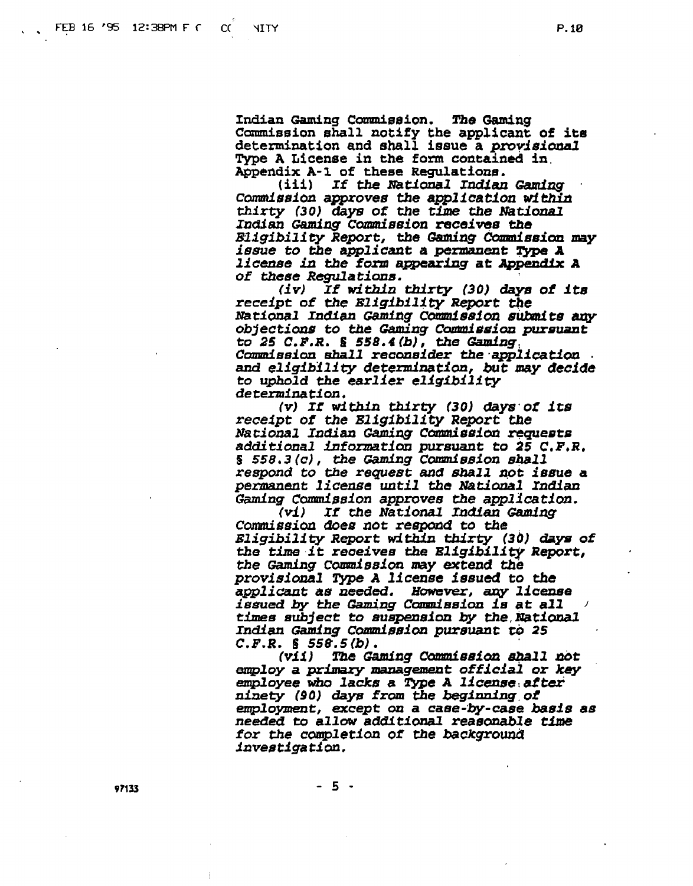Indian Gaming Commission. The Gaming Commission shall notify the applicant of its determination and shall issue a provisional Type A License in the form contained in. Appendix A-1 of these Regulations.

(iii) If the National Indian Gaming Commission approves the application within thirty (30) days of the time the National Indian Gaming Commission receives the Eligibility Report, the Gaming Commission may *issue to the applicant a permanent Type A* license in the form appearing at Appendix A of these Regulations.

(iv) If within thirty (30) days of its receipt of the Eligibility Report the National Indian Gaming Commission submits any objections to the Gaming Commission pursuant to 25 C.F.R. § 558.4(b), the Gaming Commission shall reconsider the application and eligibility determination, but may decide to uphold the earlier eligibility determination.

(v) If within thirty (30) days of its receipt of the Bligibility Report the National Indian Gaming Commission requests additional information pursuant to 25 C.F.R. § 558.3(c), the Gaming Commission shall<br>respond to the request and shall not issue a permanent license until the National Indian Gaming Commission approves the application.

If the National Indian Gaming  $(v1)$ Commission does not respond to the Eligibility Report within thirty (30) days of the time it receives the Eligibility Report, the Gaming Commission may extend the provisional Type A license issued to the applicant as needed. However, any license issued by the Gaming Commission is at all times subject to suspension by the National Indian Gaming Commission pursuant to 25  $C.F.R. S 558.5(b).$ 

(V11) The Gaming Commission shall not employ a primary management official or key employee who lacks a Type A license after ninety (90) days from the beginning of employment, except on a case-by-case basis as needed to allow additional reasonable time for the completion of the background *investigation.* 

 $-5 -$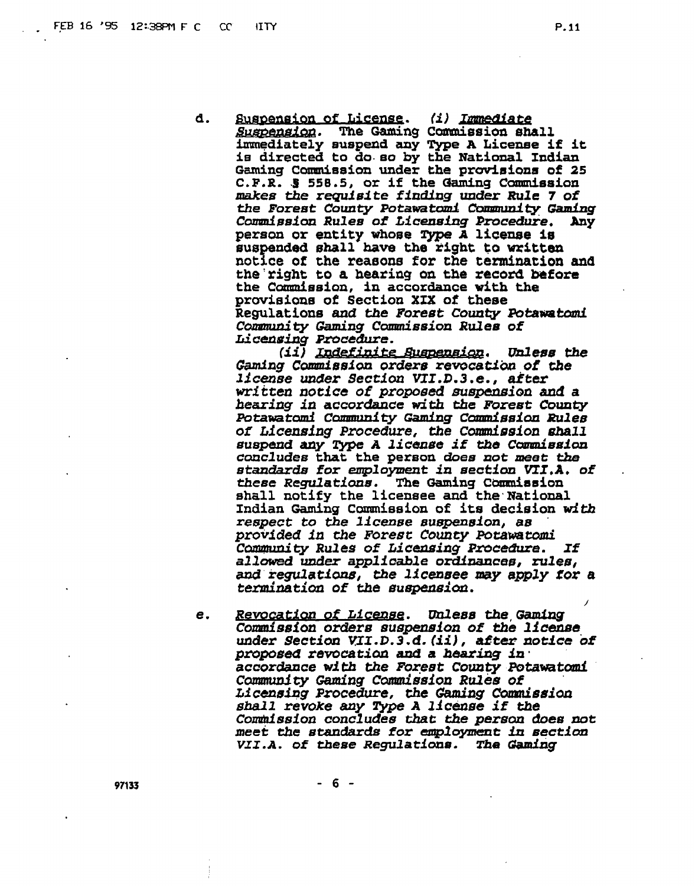d. Suspension of License. (i) Immediate The Gaming Commission shall *Suspension.* immediately suspend any Type A License if it is directed to do so by the National Indian Gaming Commission under the provisions of 25 C.F.R. § 558.5, or if the Gaming Commission makes the requisite finding under Rule 7 of the Forest County Potawatomi Community Gaming *Commission Rules of Licensing Procedure.* Any person or entity whose Type A license is suspended shall have the right to written notice of the reasons for the termination and the right to a hearing on the record before the Commission, in accordance with the provisions of Section XIX of these Regulations and the Forest County Potawatomi Community Gaming Commission Rules of *Licensing Procedure.* 

(ii) Indefinite Suspension. Unless the Gaming Commission orders revocation of the *license under Section VII.D.3.e., after* written notice of proposed suspension and a hearing in accordance with the Forest County Potawatomi Community Gaming Commission Rules of Licensing Procedure, the Commission shall suspend any Type A license if the Commission concludes that the person does not meet the standards for employment in section VII.A. of these Regulations. The Gaming Commission shall notify the licensee and the National Indian Gaming Commission of its decision with respect to the license suspension, as provided in the Forest County Potawatomi Community Rules of Licensing Procedure. If allowed under applicable ordinances, rules, and regulations, the licensee may apply for a termination of the suspension.

Revocation of License. Unless the Gaming e. Commission orders suspension of the license under Section VII.D.3.d. (ii), after notice of proposed revocation and a hearing in accordance with the Forest County Potawatomi Community Gaming Commission Rules of Licensing Procedure, the Gaming Commission shall revoke any Type A license if the Commission concludes that the person does not meet the standards for employment in section VII.A. of these Regulations. The Gaming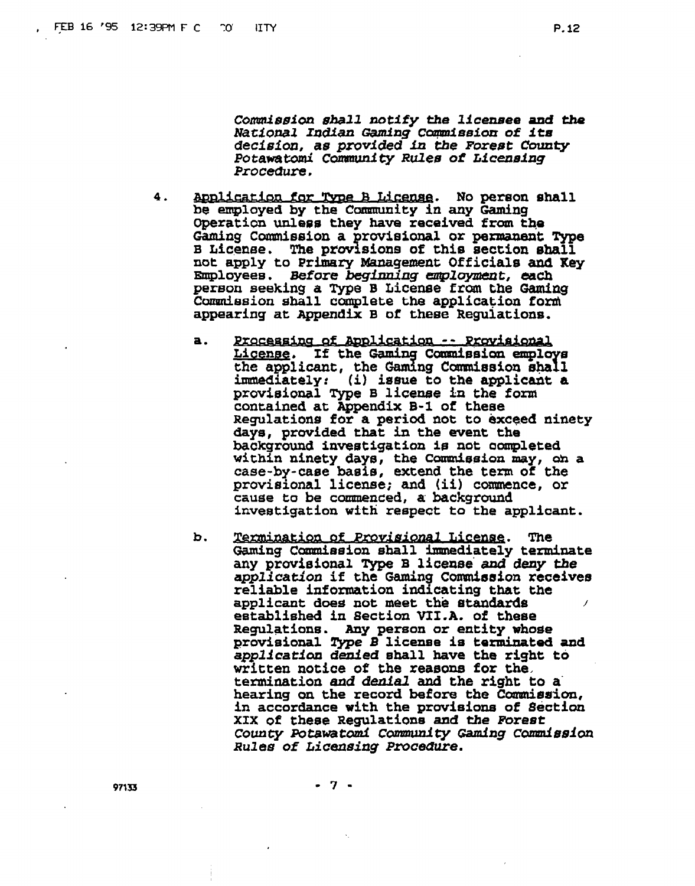*CoWsafon* **aha11 notify the licensee and** the *Nati anal* **Indian mng Copleeion of** *it8*  **decisf on, as pmvf tied in tbe Forest County** *PotawaW* **Cwty** *Rules* **of Lf** *cenafng*  **Procedure.** 

- 4. **Application for Type B License.** No person shall be **employed by the Colanrunfty in any Gaming Operation unless they have received from the Ganing Coaonission a rwieional or permaneat Type B Licenee. The prw f sions oi this section ehall not apply to Primary Mzwgment Official8 and Key Employees. Before beginning** *enployn&?nt,* **each pereon seeking a Type B Licenee from the Gaming Cdesion shall complete the application forni appearing at Appendix B of theee Regulations.** 
	- **a.**  <u> Processing of Application -- Provisional</u> License. If the Gaming Commission employs **the applicant, the irranediately: (i) iseue to the applicant a provisional Type B liceme in the form contained at Appendix** B-1 of **these Regulatiods for a period not** to **exceed ninety days, provided that in the went the background investigation is not oompleted within ninety days, the CoaPnieeion may, oh <sup>a</sup>** case-by-case basis, extend the term of the **provisional liceme; and (ii) commence, or cause to be comaenced, a background** investigation **wfth respect to the applicant.**
	- **b.** Termination of Provisional License. . **The**  Gaming Commission shall immediately terminate **any provieional** *Type* **B licesse'and deny the application if the Gaming C~saion receives reliable information indicating that the applicant does** not **meet th;e etanhrds <sup>1</sup> established in Section VI1.A. of these Replatione. Any person or entity whose provisional Type B liceme is termhated and applicatian dded shall have the right to written notice of the reasons for the,**  termination *and denial* and the right to a<br>hearing on the record before the Commission, **hearing on the record before the Cdeaion, in accordance with the provisions of Section XIX of these ~egulatione and the EbreBt**  County Potawatomi Community Gaming Commission *Rule#* **of** *ticeasing* **PrOceaUr8.**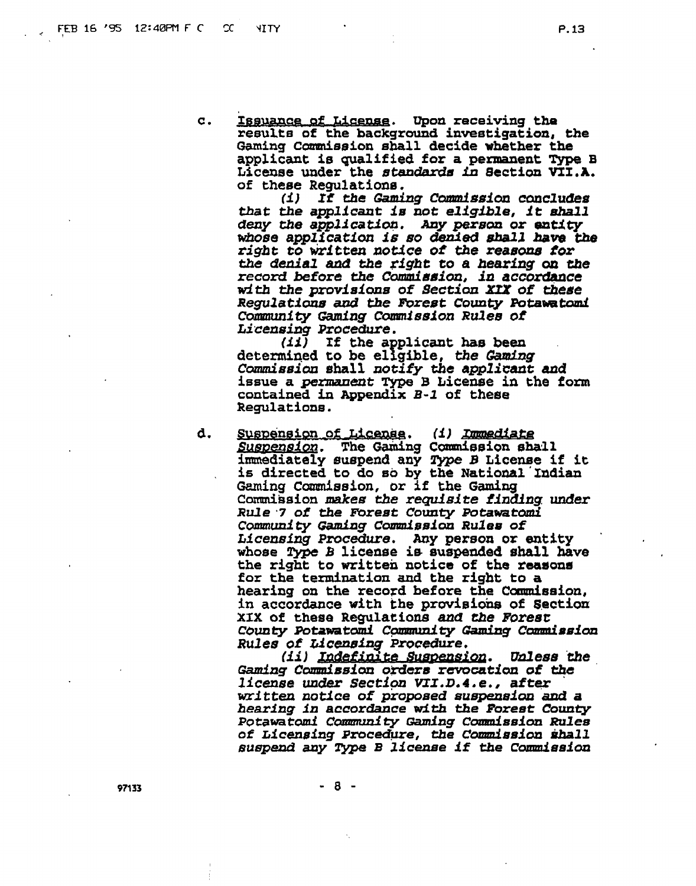$\overline{c}$ .

Issuance of License. Upon receiving the results of the background investigation, the Gaming Commission shall decide whether the applicant is qualified for a permanent Type B License under the standards in Section VII.A. of these Requiations.

If the Gaming Commission concludes (1) that the applicant is not eligible, it shall deny the application. Any person or entity whose application is so denied shall have the right to written notice of the reasons for the denial and the right to a hearing on the record before the Commission, in accordance with the provisions of Section XIX of these Regulations and the Forest County Potawatomi Community Gaming Commission Rules of Licensing Procedure.

 $(11)$  If the applicant has been determined to be eligible, the Gaming Commission shall notify the applicant and issue a permanent Type B License in the form contained in Appendix B-1 of these Regulations.

d. Suspension of License. (i) Immediate Suspension. The Gaming Commission shall immediately suspend any Type B License if it is directed to do so by the National Indian Gaming Commission, or if the Gaming Commission makes the requisite finding under Rule 7 of the Forest County Potawatomi Community Gaming Commission Rules of Licensing Procedure. Any person or entity whose Type B license is suspended shall have the right to written notice of the reasons for the termination and the right to a hearing on the record before the Commission, in accordance with the provisions of Section XIX of these Regulations and the Forest County Potawatomi Community Gaming Commission Rules of Licensing Procedure.

(ii) Indefinite Suspension. Unless the Gaming Commission orders revocation of the *license under Section VII.D.4.e., after* written notice of proposed suspension and a hearing in accordance with the Forest County Potawatomi Community Gaming Commission Rules of Licensing Procedure, the Commission shall suspend any Type B license if the Commission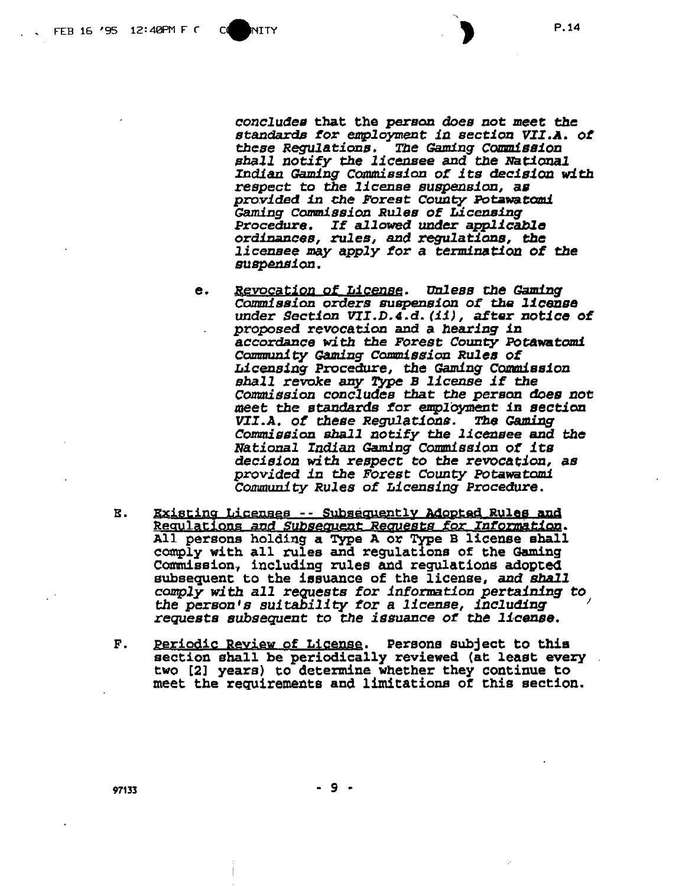**Cd** 

concludes that the person does not meet the standards for employment in section VII.A. of these Regulations. The Gaming Commission shall notify the licensee and the National Indian Gaming Commission of its decision with respect to the license suspension, as provided in the Forest County Potawatomi Gaming Commission Rules of Licensing Procedure. If allowed under applicable ordinances, rules, and regulations, the licensee may apply for a termination of the suspension.

- e. Revocation of License. Unless the Gaming Commission orders suspension of the license under Section VII.D.4.d. (ii), after notice of proposed revocation and a hearing in accordance with the Forest County Potawatomi Community Gaming Commission Rules of Licensing Procedure, the Gaming Commission shall revoke any Type B license if the Commission concludes that the person does not meet the standards for employment in section VII.A. of these Regulations. The Gaming Commission shall notify the licensee and the National Indian Gaming Commission of its decision with respect to the revocation, as provided in the Forest County Potawatomi Community Rules of Licensing Procedure.
- Existing Licenses -- Subsequently Adopted Rules and Ε. Requlations and Subsequent Requests for Information.<br>All persons holding a Type A or Type B license shall comply with all rules and regulations of the Gaming Commission, including rules and regulations adopted subsequent to the issuance of the license, and shall comply with all requests for information pertaining to the person's suitability for a license, including requests subsequent to the issuance of the license.
- $\mathbf{F}$ . Periodic Review of License. Persons subject to this section shall be periodically reviewed (at least every two [2] years) to determine whether they continue to meet the requirements and limitations of this section.

 $-9 -$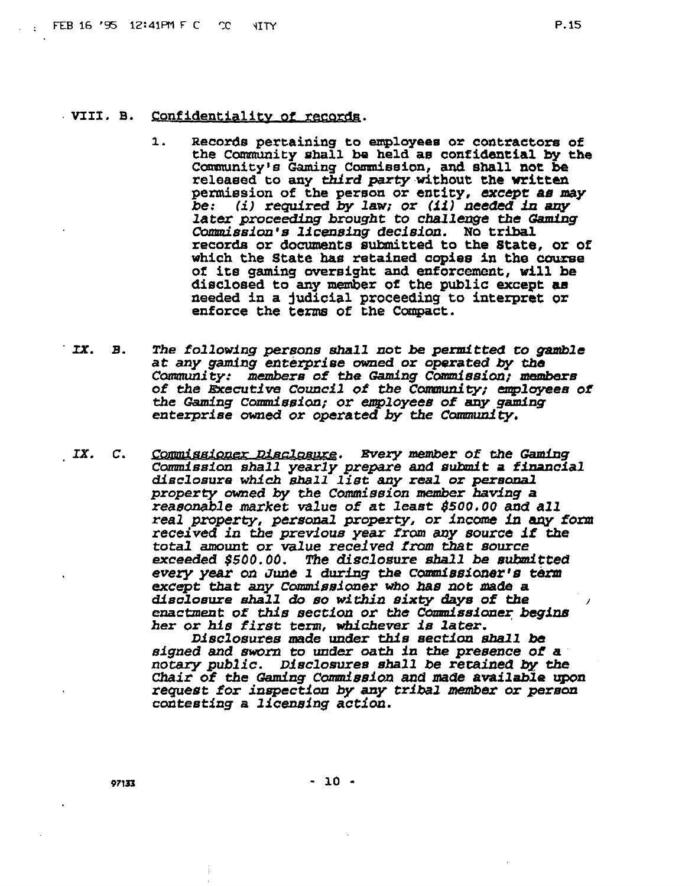#### . VIII. B. Confidentiality of records.

- $1.$ **Records pertaining to employeem or corrtractors of the Camunity shall ba held as confidential by the Camtunfcy'e** Ganing **Cdssion, and shall not be**  Community's Grains of Communistion, and Shall not be<br>relaxed to any third party without the written<br>permission of the person or entity, except as<br>permission is lighted by law, or (ii) decided in any<br>later proceeding brough **releaeed to any** *third* **party.wi,thout the written penniesion of the person or entity, except aa may be: (i) required by** *law;* **or (f i 1 needed in** *any later* **proceeding** *brought* **to** *challenge* **the Gaming Caarmissian's licensing decisian. No tribal records or** *Bocuzamts* **submitted to the state, or of which the State** ha^ **retained copies in the course of its gaming oversight and enforcement, will be dieclosed to any member of the public except as needed in a judicial proceecling to interpret or enforce the terms of the Conpact.**
- IX. B. The following persons shall not be permitted to gamble **at any gamiag enterprise med or operated by the Community: members of the Gaming Cdssfon; memhra of the Executive Council of the Community; employees of the Gaming Commfssion; or employeerr of any gaming enterprise owned or operated by the Coxundty,**
- **Carrnnission shall** *yearly prepare* **and sruhwit a financfal disclosure** *whdch* **shall list any real or peranrul property owed by** the **Ccrmmi~sion member havfng a reasonable market value of at least 8500.00** *and all real* **property, persanal** *property,* **or fnccrme in** *aqy* **foxm received in the previous year from** *any* **source if t&e total amount or value** *received* **fm that source exceeded \$500.00. The disclosure** *shall* **be srlhmitled every** *year* **on JUt? 1 during the** *c~asiorzerls* **term**  *except* **that any Cdnsfoner** Mo **has not ma& a disclosure &all do so wlichia** *sixty* **dqw of the 1 enactment of** *this sectf* **on or** the *Cendssianer begins*   $h$ er or his first term, whichever is later.

*Dlsclorsures* **made under this sectian** *shall* **be**  *sfgned and* sworn **to under oath in the presence of a notary public.** Disclosures **shall be retained by** the **Chair of the** *Gaming Cdssdon* **and made available qpon**  *request* **for inspecti on by any trfbal membaf or person cadtesting a licensing actfan.**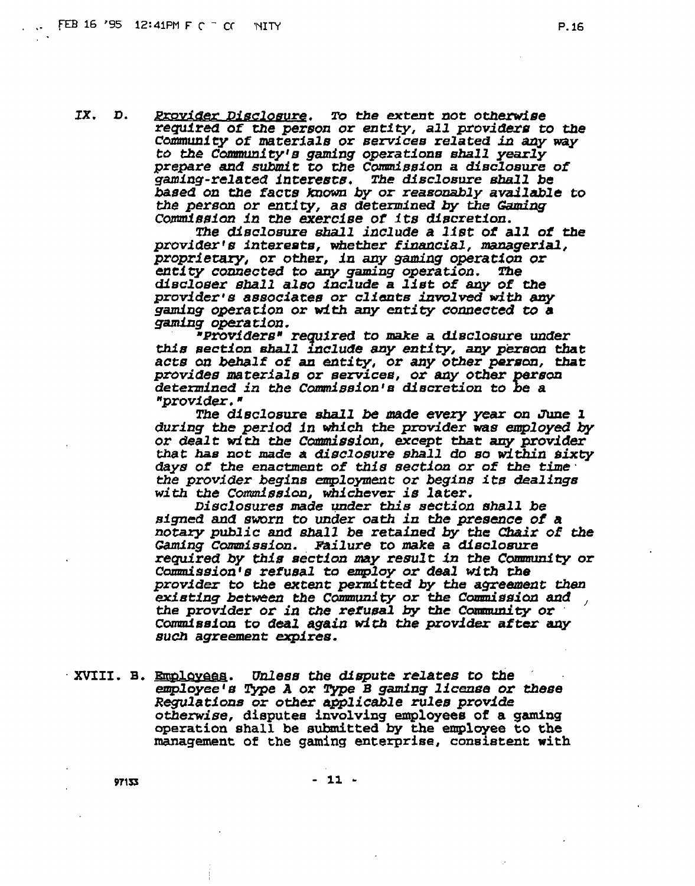<u>Provider Disclosure</u>. IX. D. To the extent not otherwise required of the person or entity, all providers to the Community of materials or services related in any way to the Community's gaming operations shall yearly prepare and submit to the Commission a disclosure of gaming-related interests. The disclosure shall be based on the facts known by or reasonably available to the person or entity, as determined by the Gaming Commission in the exercise of its discretion.

The disclosure shall include a list of all of the provider's interests, whether financial, managerial, proprietary, or other, in any gaming operation or entity connected to any gaming operation. **The** discloser shall also include a list of any of the provider's associates or clients involved with any gaming operation or with any entity connected to a gaming operation.

"Providers" required to make a disclosure under this section shall include any entity, any person that acts on behalf of an entity, or any other person, that provides materials or services, or any other person determined in the Commission's discretion to be a "provider."

The disclosure shall be made every year on June 1 during the period in which the provider was employed by or dealt with the Commission, except that any provider that has not made a disclosure shall do so within sixty days of the enactment of this section or of the time the state of the state of the state of the provider begins employment or begins its dealings with the Commission, whichever is later.

Disclosures made under this section shall be signed and sworn to under oath in the presence of a notary public and shall be retained by the Chair of the *Gaming Commission. Failure to make a disclosure* required by this section may result in the Community or Commission's refusal to employ or deal with the provider to the extent permitted by the agreement then existing between the Community or the Commission and the provider or in the refusal by the Community or Commission to deal again with the provider after any such agreement expires.

XVIII. B. <u>Emplovees</u>. Unless the dispute relates to the employee's Type A or Type B gaming license or these Regulations or other applicable rules provide otherwise, disputes involving employees of a gaming operation shall be submitted by the employee to the management of the gaming enterprise, consistent with